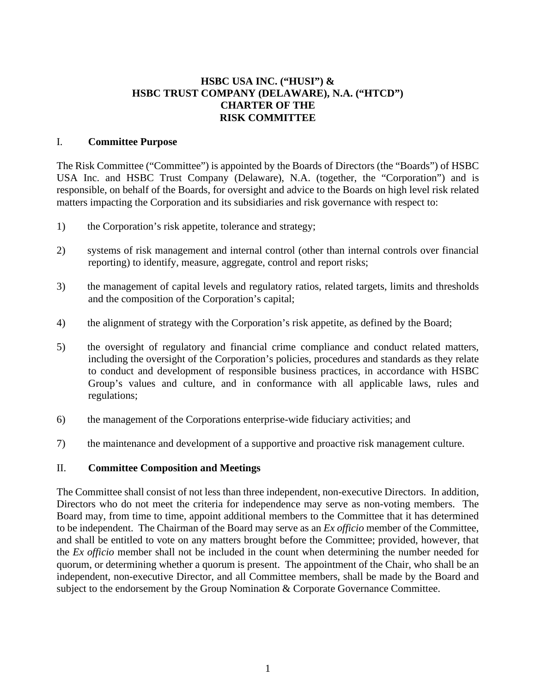## **HSBC USA INC. ("HUSI") & HSBC TRUST COMPANY (DELAWARE), N.A. ("HTCD") CHARTER OF THE RISK COMMITTEE**

## I. **Committee Purpose**

The Risk Committee ("Committee") is appointed by the Boards of Directors (the "Boards") of HSBC USA Inc. and HSBC Trust Company (Delaware), N.A. (together, the "Corporation") and is responsible, on behalf of the Boards, for oversight and advice to the Boards on high level risk related matters impacting the Corporation and its subsidiaries and risk governance with respect to:

- 1) the Corporation's risk appetite, tolerance and strategy;
- 2) systems of risk management and internal control (other than internal controls over financial reporting) to identify, measure, aggregate, control and report risks;
- 3) the management of capital levels and regulatory ratios, related targets, limits and thresholds and the composition of the Corporation's capital;
- 4) the alignment of strategy with the Corporation's risk appetite, as defined by the Board;
- 5) the oversight of regulatory and financial crime compliance and conduct related matters, including the oversight of the Corporation's policies, procedures and standards as they relate to conduct and development of responsible business practices, in accordance with HSBC Group's values and culture, and in conformance with all applicable laws, rules and regulations;
- 6) the management of the Corporations enterprise-wide fiduciary activities; and
- 7) the maintenance and development of a supportive and proactive risk management culture.

## II. **Committee Composition and Meetings**

The Committee shall consist of not less than three independent, non-executive Directors. In addition, Directors who do not meet the criteria for independence may serve as non-voting members. The Board may, from time to time, appoint additional members to the Committee that it has determined to be independent. The Chairman of the Board may serve as an *Ex officio* member of the Committee, and shall be entitled to vote on any matters brought before the Committee; provided, however, that the *Ex officio* member shall not be included in the count when determining the number needed for quorum, or determining whether a quorum is present. The appointment of the Chair, who shall be an independent, non-executive Director, and all Committee members, shall be made by the Board and subject to the endorsement by the Group Nomination & Corporate Governance Committee.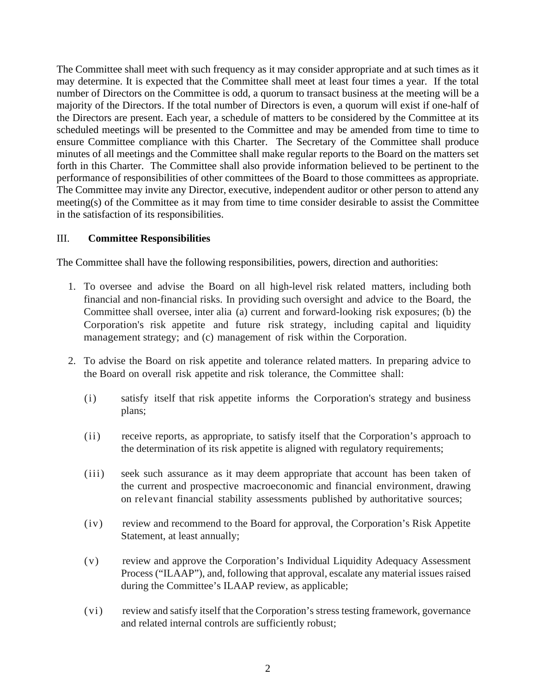The Committee shall meet with such frequency as it may consider appropriate and at such times as it may determine. It is expected that the Committee shall meet at least four times a year. If the total number of Directors on the Committee is odd, a quorum to transact business at the meeting will be a majority of the Directors. If the total number of Directors is even, a quorum will exist if one-half of the Directors are present. Each year, a schedule of matters to be considered by the Committee at its scheduled meetings will be presented to the Committee and may be amended from time to time to ensure Committee compliance with this Charter. The Secretary of the Committee shall produce minutes of all meetings and the Committee shall make regular reports to the Board on the matters set forth in this Charter. The Committee shall also provide information believed to be pertinent to the performance of responsibilities of other committees of the Board to those committees as appropriate. The Committee may invite any Director, executive, independent auditor or other person to attend any meeting(s) of the Committee as it may from time to time consider desirable to assist the Committee in the satisfaction of its responsibilities.

## III. **Committee Responsibilities**

The Committee shall have the following responsibilities, powers, direction and authorities:

- 1. To oversee and advise the Board on all high-level risk related matters, including both financial and non-financial risks. In providing such oversight and advice to the Board, the Committee shall oversee, inter alia (a) current and forward-looking risk exposures; (b) the Corporation's risk appetite and future risk strategy, including capital and liquidity management strategy; and (c) management of risk within the Corporation.
- 2. To advise the Board on risk appetite and tolerance related matters. In preparing advice to the Board on overall risk appetite and risk tolerance, the Committee shall:
	- (i) satisfy itself that risk appetite informs the Corporation's strategy and business plans;
	- (ii) receive reports, as appropriate, to satisfy itself that the Corporation's approach to the determination of its risk appetite is aligned with regulatory requirements;
	- (iii) seek such assurance as it may deem appropriate that account has been taken of the current and prospective macroeconomic and financial environment, drawing on relevant financial stability assessments published by authoritative sources;
	- (iv) review and recommend to the Board for approval, the Corporation's Risk Appetite Statement, at least annually;
	- (v) review and approve the Corporation's Individual Liquidity Adequacy Assessment Process ("ILAAP"), and, following that approval, escalate any material issues raised during the Committee's ILAAP review, as applicable;
	- (vi) review and satisfy itself that the Corporation's stress testing framework, governance and related internal controls are sufficiently robust;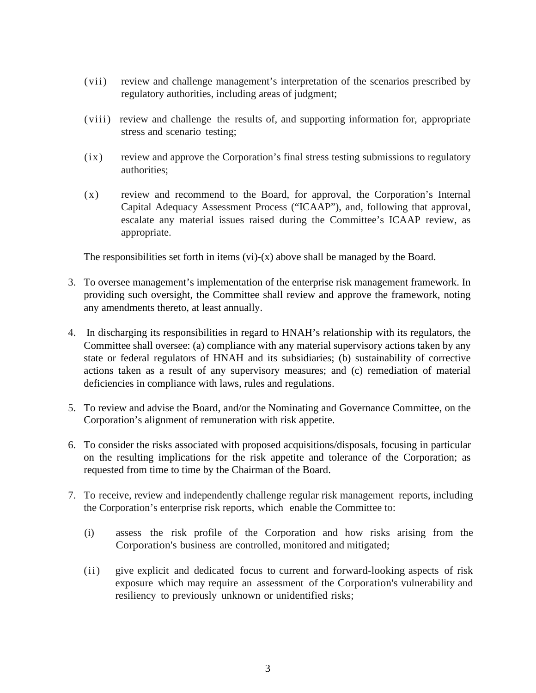- (vii) review and challenge management's interpretation of the scenarios prescribed by regulatory authorities, including areas of judgment;
- (viii) review and challenge the results of, and supporting information for, appropriate stress and scenario testing;
- (ix) review and approve the Corporation's final stress testing submissions to regulatory authorities;
- (x) review and recommend to the Board, for approval, the Corporation's Internal Capital Adequacy Assessment Process ("ICAAP"), and, following that approval, escalate any material issues raised during the Committee's ICAAP review, as appropriate.

The responsibilities set forth in items (vi)-(x) above shall be managed by the Board.

- 3. To oversee management's implementation of the enterprise risk management framework. In providing such oversight, the Committee shall review and approve the framework, noting any amendments thereto, at least annually.
- 4. In discharging its responsibilities in regard to HNAH's relationship with its regulators, the Committee shall oversee: (a) compliance with any material supervisory actions taken by any state or federal regulators of HNAH and its subsidiaries; (b) sustainability of corrective actions taken as a result of any supervisory measures; and (c) remediation of material deficiencies in compliance with laws, rules and regulations.
- 5. To review and advise the Board, and/or the Nominating and Governance Committee, on the Corporation's alignment of remuneration with risk appetite.
- 6. To consider the risks associated with proposed acquisitions/disposals, focusing in particular on the resulting implications for the risk appetite and tolerance of the Corporation; as requested from time to time by the Chairman of the Board.
- 7. To receive, review and independently challenge regular risk management reports, including the Corporation's enterprise risk reports, which enable the Committee to:
	- (i) assess the risk profile of the Corporation and how risks arising from the Corporation's business are controlled, monitored and mitigated;
	- (ii) give explicit and dedicated focus to current and forward-looking aspects of risk exposure which may require an assessment of the Corporation's vulnerability and resiliency to previously unknown or unidentified risks;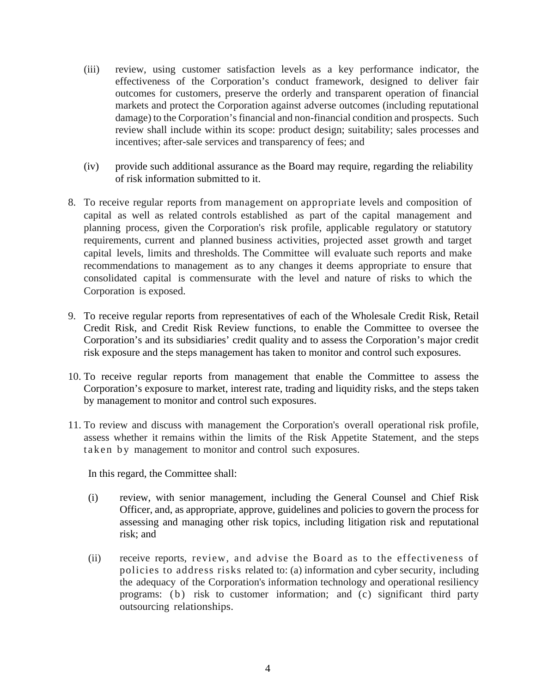- (iii) review, using customer satisfaction levels as a key performance indicator, the effectiveness of the Corporation's conduct framework, designed to deliver fair outcomes for customers, preserve the orderly and transparent operation of financial markets and protect the Corporation against adverse outcomes (including reputational damage) to the Corporation's financial and non-financial condition and prospects. Such review shall include within its scope: product design; suitability; sales processes and incentives; after-sale services and transparency of fees; and
- (iv) provide such additional assurance as the Board may require, regarding the reliability of risk information submitted to it.
- 8. To receive regular reports from management on appropriate levels and composition of capital as well as related controls established as part of the capital management and planning process, given the Corporation's risk profile, applicable regulatory or statutory requirements, current and planned business activities, projected asset growth and target capital levels, limits and thresholds. The Committee will evaluate such reports and make recommendations to management as to any changes it deems appropriate to ensure that consolidated capital is commensurate with the level and nature of risks to which the Corporation is exposed.
- 9. To receive regular reports from representatives of each of the Wholesale Credit Risk, Retail Credit Risk, and Credit Risk Review functions, to enable the Committee to oversee the Corporation's and its subsidiaries' credit quality and to assess the Corporation's major credit risk exposure and the steps management has taken to monitor and control such exposures.
- 10. To receive regular reports from management that enable the Committee to assess the Corporation's exposure to market, interest rate, trading and liquidity risks, and the steps taken by management to monitor and control such exposures.
- 11. To review and discuss with management the Corporation's overall operational risk profile, assess whether it remains within the limits of the Risk Appetite Statement, and the steps taken by management to monitor and control such exposures.

In this regard, the Committee shall:

- (i) review, with senior management, including the General Counsel and Chief Risk Officer, and, as appropriate, approve, guidelines and policies to govern the process for assessing and managing other risk topics, including litigation risk and reputational risk; and
- (ii) receive reports, review, and advise the Board as to the effectiveness of policies to address risks related to: (a) information and cyber security, including the adequacy of the Corporation's information technology and operational resiliency programs: (b) risk to customer information; and (c) significant third party outsourcing relationships.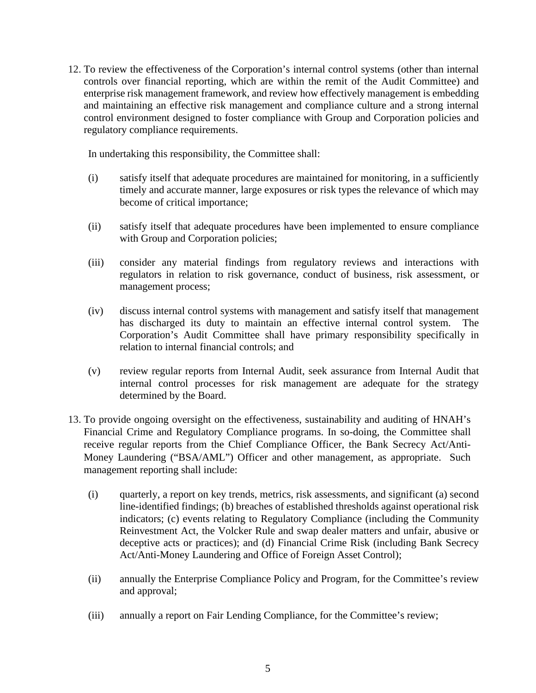12. To review the effectiveness of the Corporation's internal control systems (other than internal controls over financial reporting, which are within the remit of the Audit Committee) and enterprise risk management framework, and review how effectively management is embedding and maintaining an effective risk management and compliance culture and a strong internal control environment designed to foster compliance with Group and Corporation policies and regulatory compliance requirements.

In undertaking this responsibility, the Committee shall:

- (i) satisfy itself that adequate procedures are maintained for monitoring, in a sufficiently timely and accurate manner, large exposures or risk types the relevance of which may become of critical importance;
- (ii) satisfy itself that adequate procedures have been implemented to ensure compliance with Group and Corporation policies;
- (iii) consider any material findings from regulatory reviews and interactions with regulators in relation to risk governance, conduct of business, risk assessment, or management process;
- (iv) discuss internal control systems with management and satisfy itself that management has discharged its duty to maintain an effective internal control system. The Corporation's Audit Committee shall have primary responsibility specifically in relation to internal financial controls; and
- (v) review regular reports from Internal Audit, seek assurance from Internal Audit that internal control processes for risk management are adequate for the strategy determined by the Board.
- 13. To provide ongoing oversight on the effectiveness, sustainability and auditing of HNAH's Financial Crime and Regulatory Compliance programs. In so-doing, the Committee shall receive regular reports from the Chief Compliance Officer, the Bank Secrecy Act/Anti-Money Laundering ("BSA/AML") Officer and other management, as appropriate. Such management reporting shall include:
	- (i) quarterly, a report on key trends, metrics, risk assessments, and significant (a) second line-identified findings; (b) breaches of established thresholds against operational risk indicators; (c) events relating to Regulatory Compliance (including the Community Reinvestment Act, the Volcker Rule and swap dealer matters and unfair, abusive or deceptive acts or practices); and (d) Financial Crime Risk (including Bank Secrecy Act/Anti-Money Laundering and Office of Foreign Asset Control);
	- (ii) annually the Enterprise Compliance Policy and Program, for the Committee's review and approval;
	- (iii) annually a report on Fair Lending Compliance, for the Committee's review;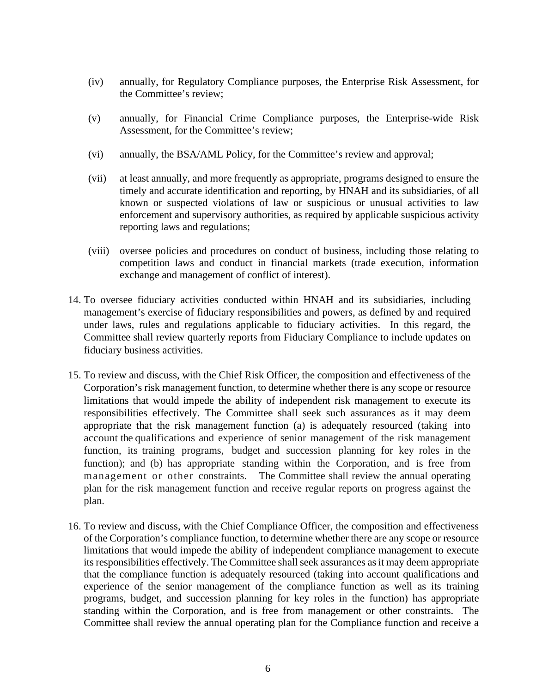- (iv) annually, for Regulatory Compliance purposes, the Enterprise Risk Assessment, for the Committee's review;
- (v) annually, for Financial Crime Compliance purposes, the Enterprise-wide Risk Assessment, for the Committee's review;
- (vi) annually, the BSA/AML Policy, for the Committee's review and approval;
- (vii) at least annually, and more frequently as appropriate, programs designed to ensure the timely and accurate identification and reporting, by HNAH and its subsidiaries, of all known or suspected violations of law or suspicious or unusual activities to law enforcement and supervisory authorities, as required by applicable suspicious activity reporting laws and regulations;
- (viii) oversee policies and procedures on conduct of business, including those relating to competition laws and conduct in financial markets (trade execution, information exchange and management of conflict of interest).
- 14. To oversee fiduciary activities conducted within HNAH and its subsidiaries, including management's exercise of fiduciary responsibilities and powers, as defined by and required under laws, rules and regulations applicable to fiduciary activities. In this regard, the Committee shall review quarterly reports from Fiduciary Compliance to include updates on fiduciary business activities.
- 15. To review and discuss, with the Chief Risk Officer, the composition and effectiveness of the Corporation's risk management function, to determine whether there is any scope or resource limitations that would impede the ability of independent risk management to execute its responsibilities effectively. The Committee shall seek such assurances as it may deem appropriate that the risk management function (a) is adequately resourced (taking into account the qualifications and experience of senior management of the risk management function, its training programs, budget and succession planning for key roles in the function); and (b) has appropriate standing within the Corporation, and is free from management or other constraints. The Committee shall review the annual operating plan for the risk management function and receive regular reports on progress against the plan.
- 16. To review and discuss, with the Chief Compliance Officer, the composition and effectiveness of the Corporation's compliance function, to determine whether there are any scope or resource limitations that would impede the ability of independent compliance management to execute its responsibilities effectively. The Committee shall seek assurances as it may deem appropriate that the compliance function is adequately resourced (taking into account qualifications and experience of the senior management of the compliance function as well as its training programs, budget, and succession planning for key roles in the function) has appropriate standing within the Corporation, and is free from management or other constraints. The Committee shall review the annual operating plan for the Compliance function and receive a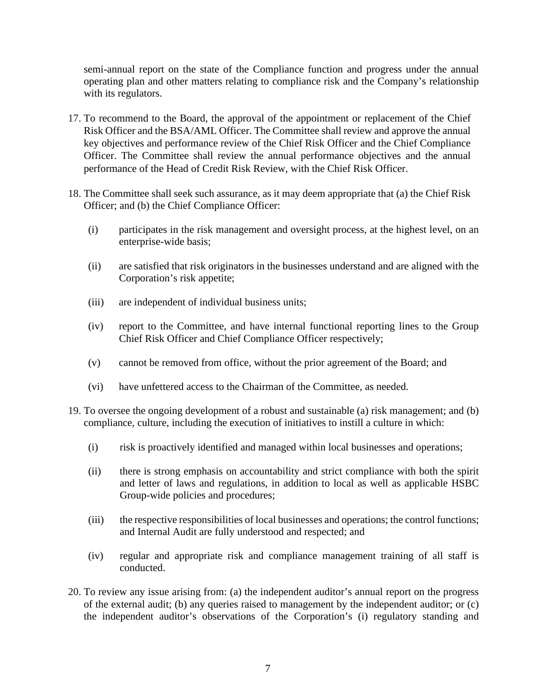semi-annual report on the state of the Compliance function and progress under the annual operating plan and other matters relating to compliance risk and the Company's relationship with its regulators.

- 17. To recommend to the Board, the approval of the appointment or replacement of the Chief Risk Officer and the BSA/AML Officer. The Committee shall review and approve the annual key objectives and performance review of the Chief Risk Officer and the Chief Compliance Officer. The Committee shall review the annual performance objectives and the annual performance of the Head of Credit Risk Review, with the Chief Risk Officer.
- 18. The Committee shall seek such assurance, as it may deem appropriate that (a) the Chief Risk Officer; and (b) the Chief Compliance Officer:
	- (i) participates in the risk management and oversight process, at the highest level, on an enterprise-wide basis;
	- (ii) are satisfied that risk originators in the businesses understand and are aligned with the Corporation's risk appetite;
	- (iii) are independent of individual business units;
	- (iv) report to the Committee, and have internal functional reporting lines to the Group Chief Risk Officer and Chief Compliance Officer respectively;
	- (v) cannot be removed from office, without the prior agreement of the Board; and
	- (vi) have unfettered access to the Chairman of the Committee, as needed.
- 19. To oversee the ongoing development of a robust and sustainable (a) risk management; and (b) compliance, culture, including the execution of initiatives to instill a culture in which:
	- (i) risk is proactively identified and managed within local businesses and operations;
	- (ii) there is strong emphasis on accountability and strict compliance with both the spirit and letter of laws and regulations, in addition to local as well as applicable HSBC Group-wide policies and procedures;
	- (iii) the respective responsibilities of local businesses and operations; the control functions; and Internal Audit are fully understood and respected; and
	- (iv) regular and appropriate risk and compliance management training of all staff is conducted.
- 20. To review any issue arising from: (a) the independent auditor's annual report on the progress of the external audit; (b) any queries raised to management by the independent auditor; or (c) the independent auditor's observations of the Corporation's (i) regulatory standing and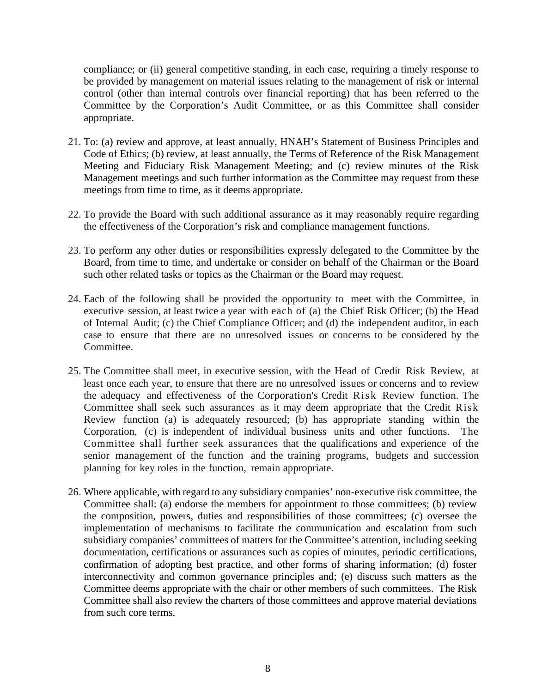compliance; or (ii) general competitive standing, in each case, requiring a timely response to be provided by management on material issues relating to the management of risk or internal control (other than internal controls over financial reporting) that has been referred to the Committee by the Corporation's Audit Committee, or as this Committee shall consider appropriate.

- 21. To: (a) review and approve, at least annually, HNAH's Statement of Business Principles and Code of Ethics; (b) review, at least annually, the Terms of Reference of the Risk Management Meeting and Fiduciary Risk Management Meeting; and (c) review minutes of the Risk Management meetings and such further information as the Committee may request from these meetings from time to time, as it deems appropriate.
- 22. To provide the Board with such additional assurance as it may reasonably require regarding the effectiveness of the Corporation's risk and compliance management functions.
- 23. To perform any other duties or responsibilities expressly delegated to the Committee by the Board, from time to time, and undertake or consider on behalf of the Chairman or the Board such other related tasks or topics as the Chairman or the Board may request.
- 24. Each of the following shall be provided the opportunity to meet with the Committee, in executive session, at least twice a year with each of (a) the Chief Risk Officer; (b) the Head of Internal Audit; (c) the Chief Compliance Officer; and (d) the independent auditor, in each case to ensure that there are no unresolved issues or concerns to be considered by the Committee.
- 25. The Committee shall meet, in executive session, with the Head of Credit Risk Review, at least once each year, to ensure that there are no unresolved issues or concerns and to review the adequacy and effectiveness of the Corporation's Credit Risk Review function. The Committee shall seek such assurances as it may deem appropriate that the Credit Risk Review function (a) is adequately resourced; (b) has appropriate standing within the Corporation, (c) is independent of individual business units and other functions. The Committee shall further seek assurances that the qualifications and experience of the senior management of the function and the training programs, budgets and succession planning for key roles in the function, remain appropriate.
- 26. Where applicable, with regard to any subsidiary companies' non-executive risk committee, the Committee shall: (a) endorse the members for appointment to those committees; (b) review the composition, powers, duties and responsibilities of those committees; (c) oversee the implementation of mechanisms to facilitate the communication and escalation from such subsidiary companies' committees of matters for the Committee's attention, including seeking documentation, certifications or assurances such as copies of minutes, periodic certifications, confirmation of adopting best practice, and other forms of sharing information; (d) foster interconnectivity and common governance principles and; (e) discuss such matters as the Committee deems appropriate with the chair or other members of such committees. The Risk Committee shall also review the charters of those committees and approve material deviations from such core terms.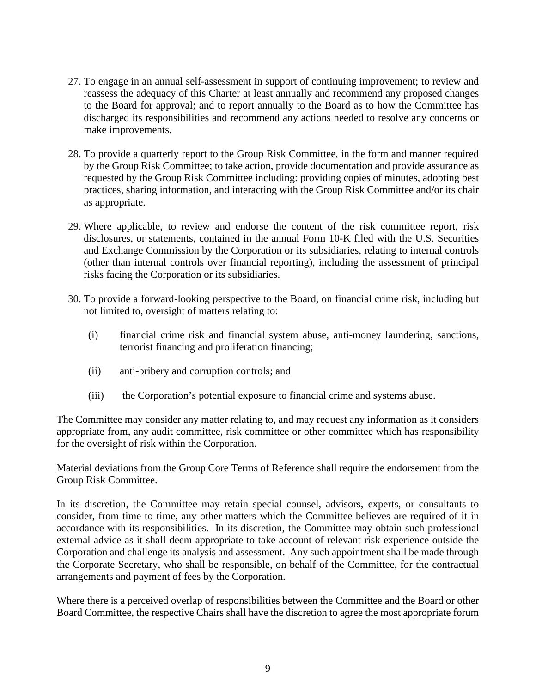- 27. To engage in an annual self-assessment in support of continuing improvement; to review and reassess the adequacy of this Charter at least annually and recommend any proposed changes to the Board for approval; and to report annually to the Board as to how the Committee has discharged its responsibilities and recommend any actions needed to resolve any concerns or make improvements.
- 28. To provide a quarterly report to the Group Risk Committee, in the form and manner required by the Group Risk Committee; to take action, provide documentation and provide assurance as requested by the Group Risk Committee including: providing copies of minutes, adopting best practices, sharing information, and interacting with the Group Risk Committee and/or its chair as appropriate.
- 29. Where applicable, to review and endorse the content of the risk committee report, risk disclosures, or statements, contained in the annual Form 10-K filed with the U.S. Securities and Exchange Commission by the Corporation or its subsidiaries, relating to internal controls (other than internal controls over financial reporting), including the assessment of principal risks facing the Corporation or its subsidiaries.
- 30. To provide a forward-looking perspective to the Board, on financial crime risk, including but not limited to, oversight of matters relating to:
	- (i) financial crime risk and financial system abuse, anti-money laundering, sanctions, terrorist financing and proliferation financing;
	- (ii) anti-bribery and corruption controls; and
	- (iii) the Corporation's potential exposure to financial crime and systems abuse.

The Committee may consider any matter relating to, and may request any information as it considers appropriate from, any audit committee, risk committee or other committee which has responsibility for the oversight of risk within the Corporation.

Material deviations from the Group Core Terms of Reference shall require the endorsement from the Group Risk Committee.

In its discretion, the Committee may retain special counsel, advisors, experts, or consultants to consider, from time to time, any other matters which the Committee believes are required of it in accordance with its responsibilities. In its discretion, the Committee may obtain such professional external advice as it shall deem appropriate to take account of relevant risk experience outside the Corporation and challenge its analysis and assessment. Any such appointment shall be made through the Corporate Secretary, who shall be responsible, on behalf of the Committee, for the contractual arrangements and payment of fees by the Corporation.

Where there is a perceived overlap of responsibilities between the Committee and the Board or other Board Committee, the respective Chairs shall have the discretion to agree the most appropriate forum